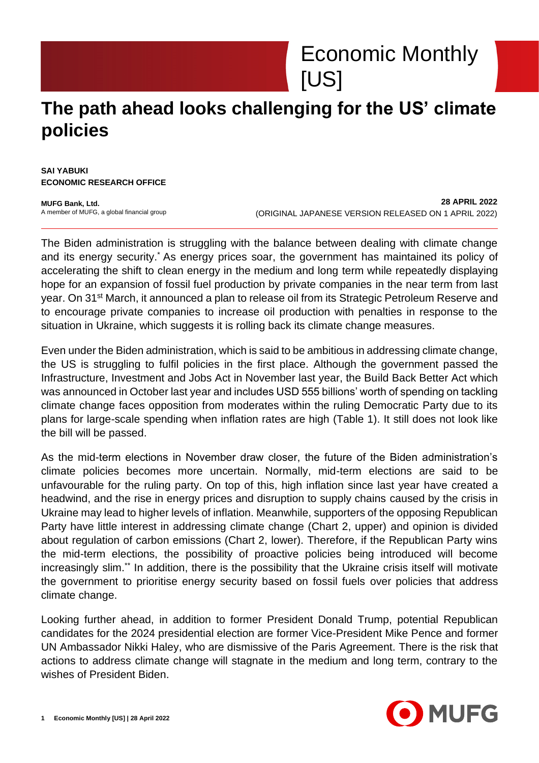

## **The path ahead looks challenging for the US' climate policies**

**SAI YABUKI ECONOMIC RESEARCH OFFICE**

**MUFG Bank, Ltd.** A member of MUFG, a global financial group

**28 APRIL 2022** (ORIGINAL JAPANESE VERSION RELEASED ON 1 APRIL 2022)

The Biden administration is struggling with the balance between dealing with climate change and its energy security.\* As energy prices soar, the government has maintained its policy of accelerating the shift to clean energy in the medium and long term while repeatedly displaying hope for an expansion of fossil fuel production by private companies in the near term from last year. On 31<sup>st</sup> March, it announced a plan to release oil from its Strategic Petroleum Reserve and to encourage private companies to increase oil production with penalties in response to the situation in Ukraine, which suggests it is rolling back its climate change measures.

Even under the Biden administration, which is said to be ambitious in addressing climate change, the US is struggling to fulfil policies in the first place. Although the government passed the Infrastructure, Investment and Jobs Act in November last year, the Build Back Better Act which was announced in October last year and includes USD 555 billions' worth of spending on tackling climate change faces opposition from moderates within the ruling Democratic Party due to its plans for large-scale spending when inflation rates are high (Table 1). It still does not look like the bill will be passed.

As the mid-term elections in November draw closer, the future of the Biden administration's climate policies becomes more uncertain. Normally, mid-term elections are said to be unfavourable for the ruling party. On top of this, high inflation since last year have created a headwind, and the rise in energy prices and disruption to supply chains caused by the crisis in Ukraine may lead to higher levels of inflation. Meanwhile, supporters of the opposing Republican Party have little interest in addressing climate change (Chart 2, upper) and opinion is divided about regulation of carbon emissions (Chart 2, lower). Therefore, if the Republican Party wins the mid-term elections, the possibility of proactive policies being introduced will become increasingly slim.\*\* In addition, there is the possibility that the Ukraine crisis itself will motivate the government to prioritise energy security based on fossil fuels over policies that address climate change.

Looking further ahead, in addition to former President Donald Trump, potential Republican candidates for the 2024 presidential election are former Vice-President Mike Pence and former UN Ambassador Nikki Haley, who are dismissive of the Paris Agreement. There is the risk that actions to address climate change will stagnate in the medium and long term, contrary to the wishes of President Biden.